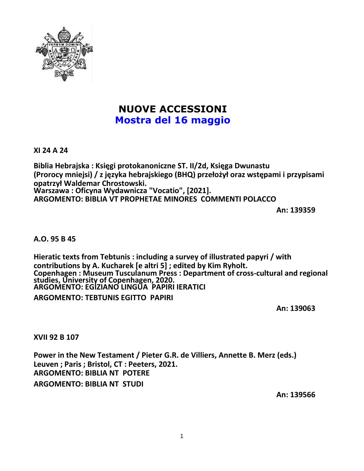

# **NUOVE ACCESSIONI Mostra del 16 maggio**

**XI 24 A 24**

**Biblia Hebrajska : Księgi protokanoniczne ST. II/2d, Księga Dwunastu (Prorocy mniejsi) / z języka hebrajskiego (BHQ) przełożył oraz wstępami i przypisami opatrzył Waldemar Chrostowski. Warszawa : Oficyna Wydawnicza "Vocatio", [2021]. ARGOMENTO: BIBLIA VT PROPHETAE MINORES COMMENTI POLACCO**

**An: 139359**

**A.O. 95 B 45**

**Hieratic texts from Tebtunis : including a survey of illustrated papyri / with contributions by A. Kucharek [e altri 5] ; edited by Kim Ryholt. Copenhagen : Museum Tusculanum Press : Department of cross-cultural and regional studies, University of Copenhagen, 2020. ARGOMENTO: EGIZIANO LINGUA PAPIRI IERATICI**

**ARGOMENTO: TEBTUNIS EGITTO PAPIRI**

**An: 139063**

**XVII 92 B 107**

**Power in the New Testament / Pieter G.R. de Villiers, Annette B. Merz (eds.) Leuven ; Paris ; Bristol, CT : Peeters, 2021. ARGOMENTO: BIBLIA NT POTERE ARGOMENTO: BIBLIA NT STUDI**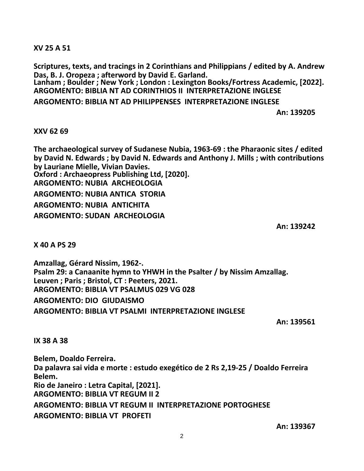**XV 25 A 51**

**Scriptures, texts, and tracings in 2 Corinthians and Philippians / edited by A. Andrew Das, B. J. Oropeza ; afterword by David E. Garland.**

**Lanham ; Boulder ; New York ; London : Lexington Books/Fortress Academic, [2022]. ARGOMENTO: BIBLIA NT AD CORINTHIOS II INTERPRETAZIONE INGLESE**

**ARGOMENTO: BIBLIA NT AD PHILIPPENSES INTERPRETAZIONE INGLESE**

**An: 139205**

## **XXV 62 69**

**The archaeological survey of Sudanese Nubia, 1963-69 : the Pharaonic sites / edited by David N. Edwards ; by David N. Edwards and Anthony J. Mills ; with contributions by Lauriane Mielle, Vivian Davies. Oxford : Archaeopress Publishing Ltd, [2020]. ARGOMENTO: NUBIA ARCHEOLOGIA ARGOMENTO: NUBIA ANTICA STORIA ARGOMENTO: NUBIA ANTICHITA ARGOMENTO: SUDAN ARCHEOLOGIA**

**An: 139242**

**X 40 A PS 29**

**Amzallag, Gérard Nissim, 1962-. Psalm 29: a Canaanite hymn to YHWH in the Psalter / by Nissim Amzallag. Leuven ; Paris ; Bristol, CT : Peeters, 2021. ARGOMENTO: BIBLIA VT PSALMUS 029 VG 028 ARGOMENTO: DIO GIUDAISMO ARGOMENTO: BIBLIA VT PSALMI INTERPRETAZIONE INGLESE**

**An: 139561**

# **IX 38 A 38**

**Belem, Doaldo Ferreira. Da palavra sai vida e morte : estudo exegético de 2 Rs 2,19-25 / Doaldo Ferreira Belem. Rio de Janeiro : Letra Capital, [2021]. ARGOMENTO: BIBLIA VT REGUM II 2 ARGOMENTO: BIBLIA VT REGUM II INTERPRETAZIONE PORTOGHESE ARGOMENTO: BIBLIA VT PROFETI**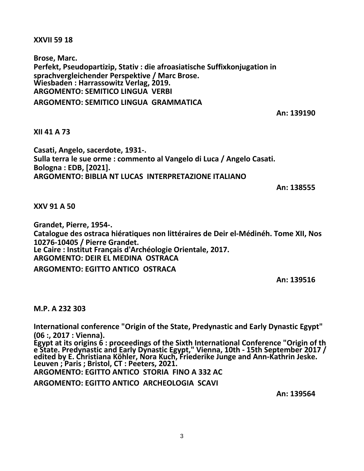**XXVII 59 18**

**Brose, Marc. Perfekt, Pseudopartizip, Stativ : die afroasiatische Suffixkonjugation in sprachvergleichender Perspektive / Marc Brose. Wiesbaden : Harrassowitz Verlag, 2019. ARGOMENTO: SEMITICO LINGUA VERBI**

**ARGOMENTO: SEMITICO LINGUA GRAMMATICA**

**An: 139190**

## **XII 41 A 73**

**Casati, Angelo, sacerdote, 1931-. Sulla terra le sue orme : commento al Vangelo di Luca / Angelo Casati. Bologna : EDB, [2021]. ARGOMENTO: BIBLIA NT LUCAS INTERPRETAZIONE ITALIANO**

**An: 138555**

#### **XXV 91 A 50**

**Grandet, Pierre, 1954-. Catalogue des ostraca hiératiques non littéraires de Deir el-Médinéh. Tome XII, Nos 10276-10405 / Pierre Grandet. Le Caire : Institut Français d'Archéologie Orientale, 2017. ARGOMENTO: DEIR EL MEDINA OSTRACA**

**ARGOMENTO: EGITTO ANTICO OSTRACA**

**An: 139516**

#### **M.P. A 232 303**

**International conference "Origin of the State, Predynastic and Early Dynastic Egypt" (06 :, 2017 : Vienna).**

**Egypt at its origins 6 : proceedings of the Sixth International Conference "Origin of th e State. Predynastic and Early Dynastic Egypt," Vienna, 10th - 15th September 2017 / edited by E. Christiana Köhler, Nora Kuch, Friederike Junge and Ann-Kathrin Jeske. Leuven ; Paris ; Bristol, CT : Peeters, 2021.**

**ARGOMENTO: EGITTO ANTICO STORIA FINO A 332 AC**

**ARGOMENTO: EGITTO ANTICO ARCHEOLOGIA SCAVI**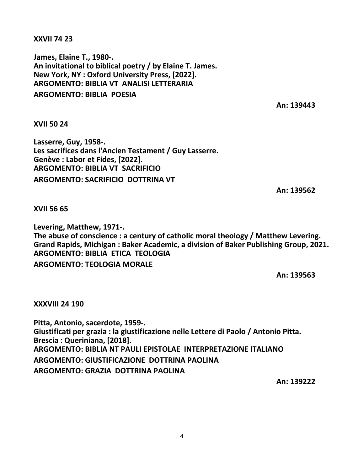#### **XXVII 74 23**

**James, Elaine T., 1980-. An invitational to biblical poetry / by Elaine T. James. New York, NY : Oxford University Press, [2022]. ARGOMENTO: BIBLIA VT ANALISI LETTERARIA ARGOMENTO: BIBLIA POESIA**

**An: 139443**

**XVII 50 24**

**Lasserre, Guy, 1958-. Les sacrifices dans l'Ancien Testament / Guy Lasserre. Genève : Labor et Fides, [2022]. ARGOMENTO: BIBLIA VT SACRIFICIO ARGOMENTO: SACRIFICIO DOTTRINA VT**

**An: 139562**

**XVII 56 65**

**Levering, Matthew, 1971-. The abuse of conscience : a century of catholic moral theology / Matthew Levering. Grand Rapids, Michigan : Baker Academic, a division of Baker Publishing Group, 2021. ARGOMENTO: BIBLIA ETICA TEOLOGIA ARGOMENTO: TEOLOGIA MORALE**

**An: 139563**

**XXXVIII 24 190**

**Pitta, Antonio, sacerdote, 1959-. Giustificati per grazia : la giustificazione nelle Lettere di Paolo / Antonio Pitta. Brescia : Queriniana, [2018]. ARGOMENTO: BIBLIA NT PAULI EPISTOLAE INTERPRETAZIONE ITALIANO ARGOMENTO: GIUSTIFICAZIONE DOTTRINA PAOLINA ARGOMENTO: GRAZIA DOTTRINA PAOLINA**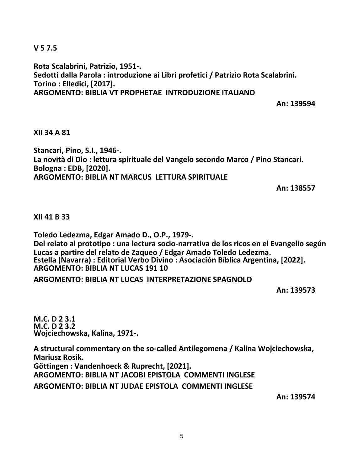**V 5 7.5**

**Rota Scalabrini, Patrizio, 1951-. Sedotti dalla Parola : introduzione ai Libri profetici / Patrizio Rota Scalabrini. Torino : Elledici, [2017]. ARGOMENTO: BIBLIA VT PROPHETAE INTRODUZIONE ITALIANO**

**An: 139594**

#### **XII 34 A 81**

**Stancari, Pino, S.I., 1946-. La novità di Dio : lettura spirituale del Vangelo secondo Marco / Pino Stancari. Bologna : EDB, [2020]. ARGOMENTO: BIBLIA NT MARCUS LETTURA SPIRITUALE**

**An: 138557**

#### **XII 41 B 33**

**Toledo Ledezma, Edgar Amado D., O.P., 1979-. Del relato al prototipo : una lectura socio-narrativa de los ricos en el Evangelio según Lucas a partire del relato de Zaqueo / Edgar Amado Toledo Ledezma. Estella (Navarra) : Editorial Verbo Divino : Asociación Bíblica Argentina, [2022]. ARGOMENTO: BIBLIA NT LUCAS 191 10**

**ARGOMENTO: BIBLIA NT LUCAS INTERPRETAZIONE SPAGNOLO**

**An: 139573**

**M.C. D 2 3.1 M.C. D 2 3.2 Wojciechowska, Kalina, 1971-.**

**A structural commentary on the so-called Antilegomena / Kalina Wojciechowska, Mariusz Rosik. Göttingen : Vandenhoeck & Ruprecht, [2021]. ARGOMENTO: BIBLIA NT JACOBI EPISTOLA COMMENTI INGLESE ARGOMENTO: BIBLIA NT JUDAE EPISTOLA COMMENTI INGLESE**